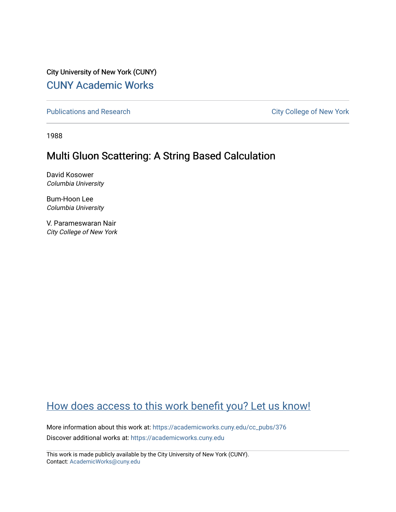City University of New York (CUNY) [CUNY Academic Works](https://academicworks.cuny.edu/) 

[Publications and Research](https://academicworks.cuny.edu/cc_pubs) **City College of New York** Publications and Research

1988

## Multi Gluon Scattering: A String Based Calculation

David Kosower Columbia University

Bum-Hoon Lee Columbia University

V. Parameswaran Nair City College of New York

# [How does access to this work benefit you? Let us know!](http://ols.cuny.edu/academicworks/?ref=https://academicworks.cuny.edu/cc_pubs/376)

More information about this work at: [https://academicworks.cuny.edu/cc\\_pubs/376](https://academicworks.cuny.edu/cc_pubs/376)  Discover additional works at: [https://academicworks.cuny.edu](https://academicworks.cuny.edu/?)

This work is made publicly available by the City University of New York (CUNY). Contact: [AcademicWorks@cuny.edu](mailto:AcademicWorks@cuny.edu)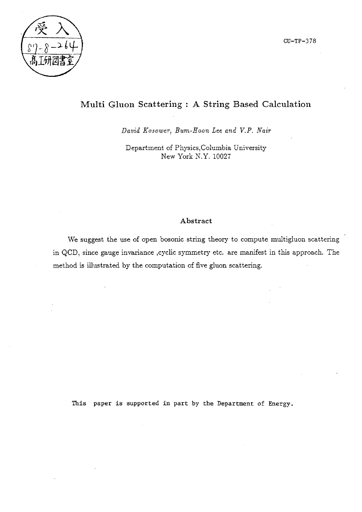

CU-TP-378

### **Multi Gluon Scattering : A String Based Calculation**

*David Kosower, Bum-Hoon Lee and V.P. Nair* 

Department of Physics,Columbia University New York N.Y. 10027

### **Abstract**

We suggest the use of open bosonic string theory to compute multigluon scattering in QCD, since gauge invariance ,cyclic symmetry etc. are manifest in this approach. The method is illustrated by the computation of five gluon scattering.

This paper is supported in part by the Department of Energy.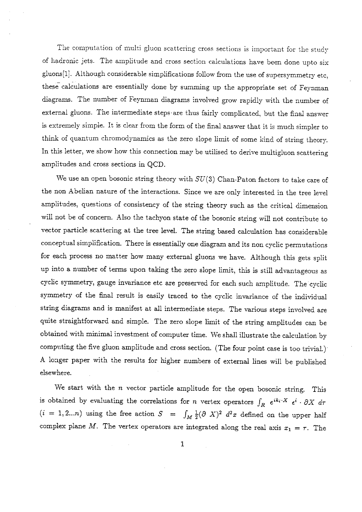The computation of multi gluon scattering cross sections is important for the study of hadronic jets. The amplitude and cross section calculations have been done upto six <sup>g</sup>luons[l]. Although considerable simplifications follow from the use of supersymmetry etc, these calculations are essentially done by summing up the appropriate set of Feynman diagrams. The number of Feynman diagrams involved grow rapidly with the number of external gluons. The intermediate steps· are thus fairly complicated, but the final answer is extremely simple. It is clear from the form of the final answer that it is much simpler to think of quantum chromodynamics as the zero slope limit of some kind of string theory. In this letter, we show how this connection may be utilised to derive multigluon scattering amplitudes and cross sections in QCD.

*Vve* use an open bosonic string theory with SU(3) Chan-Paton factors to take care of the non Abelian nature of the interactions. Since we are only interested in the tree level amplitudes, questions of consistency of the string theory such as the critical dimension will not be of concern. Also the tachyon state of the bosonic string will not contribute to vector particle scattering at the tree level. The string based calculation has considerable conceptual simplification. There is essentially one diagram and its non cyclic permutations for each process no matter how many external gluons we have. Although this gets split up into a number of terms upon taking the zero slope limit, this is still advantageous as cyclic symmetry, gauge invariance etc are preserved for each such amplitude. The cyclic symmetry of the final result is easily traced to the cyclic invariance of the individual string diagrams and is manifest at all intermediate steps. The various steps involved are quite straightforward and simple. The zero slope limit of the string amplitudes can be obtained with minimal investment of computer time. \Ve shall illustrate the calculation by computing the five gluon amplitude and cross section. (The four point case is too trivial.) A longer paper with the results for higher numbers of external lines will be published elsewhere.

We start with the *n* vector particle amplitude for the open bosonic string. This IS obtained by evaluating the correlations for n vertex operators  $\int_R e^{ik_i \cdot X} e^i \cdot \partial X d\tau$  $(i = 1, 2...n)$  using the free action  $S = \int_M \frac{1}{2} (\partial X)^2 d^2x$  defined on the upper half complex plane M. The vertex operators are integrated along the real axis  $x_1 = \tau$ . The

1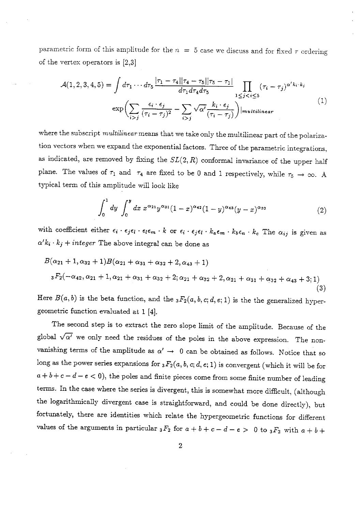parametric form of this amplitude for the  $n = 5$  case we discuss and for fixed  $\tau$  ordering of the vertex operators is [2,3]

$$
\mathcal{A}(1,2,3,4,5) = \int d\tau_1 \cdots d\tau_5 \frac{|\tau_1 - \tau_4||\tau_4 - \tau_5||\tau_5 - \tau_1|}{d\tau_1 d\tau_4 d\tau_5} \prod_{1 \leq j < i \leq 5} (\tau_i - \tau_j)^{\alpha' k_i \cdot k_j}
$$
\n
$$
\exp\left(\sum_{i > j} \frac{\epsilon_i \cdot \epsilon_j}{(\tau_i - \tau_j)^2} - \sum_{i > j} \sqrt{\alpha'} \frac{k_i \cdot \epsilon_j}{(\tau_i - \tau_j)}\right) |multilinear \tag{1}
$$

where the subscript *multilinear* means that we take only the multilinear part of the polarization vectors when we expand the exponential factors. Three of the parametric integrations, as indicated, are removed by fixing the  $SL(2, R)$  conformal invariance of the upper half plane. The values of  $\tau_1$  and  $\tau_4$  are fixed to be 0 and 1 respectively, while  $\tau_5 \to \infty$ . A typical term of this amplitude will look like

$$
\int_0^1 dy \int_0^y dx \ x^{\alpha_{21}} y^{\alpha_{31}} (1-x)^{\alpha_{42}} (1-y)^{\alpha_{43}} (y-x)^{\alpha_{32}} \tag{2}
$$

with coefficient either  $\epsilon_i \cdot \epsilon_j \epsilon_l \cdot \epsilon_l \epsilon_m \cdot k$  or  $\epsilon_i \cdot \epsilon_j \epsilon_l \cdot k_a \epsilon_m \cdot k_b \epsilon_n \cdot k_c$  The  $\alpha_{ij}$  is given as  $\alpha' k_i \cdot k_j + integer$  The above integral can be done as

$$
B(\alpha_{21}+1,\alpha_{32}+1)B(\alpha_{21}+\alpha_{31}+\alpha_{32}+2,\alpha_{43}+1)
$$
  

$$
{}_{3}F_{2}(-\alpha_{42},\alpha_{21}+1,\alpha_{21}+\alpha_{31}+\alpha_{32}+2;\alpha_{21}+\alpha_{32}+2,\alpha_{21}+\alpha_{31}+\alpha_{32}+\alpha_{43}+3;1)
$$
  
(3)

Here  $B(a, b)$  is the beta function, and the  ${}_3F_2(a, b, c; d, e; 1)$  is the the generalized hypergeometric function evaluated at 1 [4].

The second step is to extract the zero slope limit of the amplitude. Because of the global  $\sqrt{\alpha'}$  we only need the residues of the poles in the above expression. The nonvanishing terms of the amplitude as  $\alpha' \rightarrow 0$  can be obtained as follows. Notice that so long as the power series expansions for  ${}_3F_2(a, b, c; d, e; 1)$  is convergent (which it will be for  $a + b + c - d - e < 0$ , the poles and finite pieces come from some finite number of leading terms. In the case where the series is divergent, this is somewhat more difficult, (although the logarithmically divergent case is straightforward, and could be done directly), but fortunately, there are identities which relate the hypergeometric functions for different values of the arguments in particular  ${}_{3}F_{2}$  for  $a + b + c - d - e > 0$  to  ${}_{3}F_{2}$  with  $a + b +$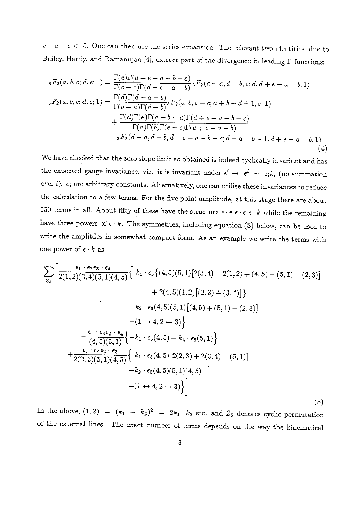$c-d-e < 0$ . One can then use the series expansion. The relevant two identities, due to Bailey, Hardy, and Ramanujan [4], extract part of the divergence in leading  $\Gamma$  functions:

$$
{}_{3}F_{2}(a,b,c;d,e;1) = \frac{\Gamma(e)\Gamma(d+e-a-b-c)}{\Gamma(e-c)\Gamma(d+e-a-b)} {}_{3}F_{2}(d-a,d-b,c;d,d+e-a-b;1)
$$
  
\n
$$
{}_{3}F_{2}(a,b,c;d,e;1) = \frac{\Gamma(d)\Gamma(d-a-b)}{\Gamma(d-a)\Gamma(d-b)} {}_{3}F_{2}(a,b,e-c;a+b-d+1,e;1)
$$
  
\n
$$
+ \frac{\Gamma(d)\Gamma(e)\Gamma(a+b-d)\Gamma(d+e-a-b-c)}{\Gamma(a)\Gamma(b)\Gamma(e-c)\Gamma(d+e-a-b)}
$$
  
\n
$$
{}_{3}F_{2}(d-a,d-b,d+e-a-b-c;d-a-b+1,d+e-a-b;1)
$$
\n(4)

We have checked that the zero slope limit so obtained is indeed cyclically invariant and has the expected gauge invariance, viz. it is invariant under  $\epsilon^{i} \rightarrow \epsilon^{i} + c_{i}k_{i}$  (no summation over  $i$ ).  $c_i$  are arbitrary constants. Alternatively, one can utilise these invariances to reduce the calculation to a few terms. For the five point amplitude, at this stage there are about 150 terms in all. About fifty of these have the structure  $\epsilon \cdot \epsilon \epsilon \cdot \epsilon \epsilon \cdot k$  while the remaining have three powers of  $\epsilon \cdot k$ . The symmetries, including equation (8) below, can be used to write the amplitdes *in* somewhat compact form. As an example we write the terms with one power of  $\epsilon \cdot k$  as

$$
\sum_{Z_{8}} \left[ \frac{\epsilon_{1} \cdot \epsilon_{2} \epsilon_{3} \cdot \epsilon_{4}}{2(1,2)(3,4)(5,1)(4,5)} \left\{ k_{1} \cdot \epsilon_{5} \{(4,5)(5,1)[2(3,4) - 2(1,2) + (4,5) - (5,1) + (2,3)] \right. \right. \\ \left. + 2(4,5)(1,2)[(2,3) + (3,4)] \right\}
$$
\n
$$
- k_{2} \cdot \epsilon_{5}(4,5)(5,1)[(4,5) + (5,1) - (2,3)]
$$
\n
$$
- (1 \leftrightarrow 4,2 \leftrightarrow 3) \right\}
$$
\n
$$
+ \frac{\epsilon_{1} \cdot \epsilon_{3} \epsilon_{2} \cdot \epsilon_{4}}{(4,5)(5,1)} \left\{ - k_{1} \cdot \epsilon_{5}(4,5) - k_{4} \cdot \epsilon_{5}(5,1) \right\}
$$
\n
$$
+ \frac{\epsilon_{1} \cdot \epsilon_{4} \epsilon_{2} \cdot \epsilon_{3}}{2(2,3)(5,1)(4,5)} \left\{ k_{1} \cdot \epsilon_{5}(4,5)[2(2,3) + 2(3,4) - (5,1)] - k_{2} \cdot \epsilon_{5}(4,5)(5,1)(4,5) - (1 \leftrightarrow 4,2 \leftrightarrow 3) \right\}
$$
\n(5)

In the above,  $(1,2) = (k_1 + k_2)^2 = 2k_1 \cdot k_2$  etc. and  $Z_5$  denotes cyclic permutation of the external lines. The exact number of terms depends on the way the kinematical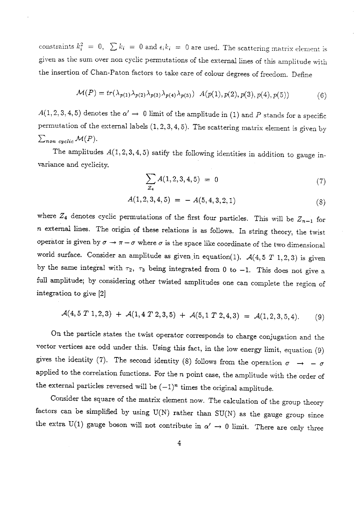constraints  $k_i^2 = 0$ ,  $\sum k_i = 0$  and  $\epsilon_i k_i = 0$  are used. The scattering matrix element is <sup>g</sup>iven as the sum over non cyclic permutations of the external lines of this amplitude with the insertion of Chan-Paton factors to take care of colour degrees of freedom. Define

$$
\mathcal{M}(P) = tr(\lambda_{p(1)}\lambda_{p(2)}\lambda_{p(3)}\lambda_{p(4)}\lambda_{p(5)}) \ A(p(1), p(2), p(3), p(4), p(5)) \tag{6}
$$

 $A(1, 2, 3, 4, 5)$  denotes the  $\alpha' \rightarrow 0$  limit of the amplitude in (1) and P stands for a specific permutation of the external labels (1, 2, 3, 4, 5). The scattering matrix element is given by  $\sum_{non\ cyclic} \mathcal{M}(P).$ 

The amplitudes  $A(1, 2, 3, 4, 5)$  satify the following identities in addition to gauge invariance and cyclicity.

$$
\sum_{Z_4} A(1,2,3,4,5) = 0 \tag{7}
$$

$$
A(1,2,3,4,5) = -A(5,4,3,2,1) \tag{8}
$$

where  $Z_4$  denotes cyclic permutations of the first four particles. This will be  $Z_{n-1}$  for *<sup>n</sup>*external lines. The origin of these relations is as follows. In string theory, the twist operator is given by  $\sigma \to \pi - \sigma$  where  $\sigma$  is the space like coordinate of the two dimensional world surface. Consider an amplitude as given in equation(1).  $A(4,5\ T\ 1,2,3)$  is given by the same integral with  $\tau_2$ ,  $\tau_3$  being integrated from 0 to -1. This does not give a full amplitude; by considering other twisted amplitudes one can complete the region of integration to give [2]

$$
\mathcal{A}(4,5\ T\ 1,2,3) + \mathcal{A}(1,4\ T\ 2,3,5) + \mathcal{A}(5,1\ T\ 2,4,3) = \mathcal{A}(1,2,3,5,4). \tag{9}
$$

On the particle states the twist operator corresponds to charge conjugation and the vector vertices are odd under this. Using this fact, in the low energy limit, equation (9) gives the identity (7). The second identity (8) follows from the operation  $\sigma \rightarrow -\sigma$ applied to the correlation functions. For the *n* point case, the amplitude with the order of the external particles reversed will be  $(-1)^n$  times the original amplitude.

Consider the square of the matrix element now. The calculation of the group theory factors can be simplified by using  $U(N)$  rather than  $SU(N)$  as the gauge group since the extra U(1) gauge boson will not contribute in  $\alpha' \rightarrow 0$  limit. There are only three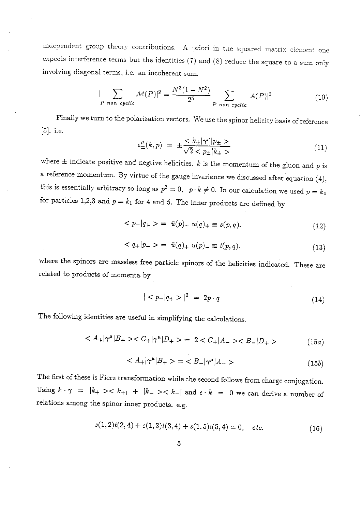independent group theory contributions. A priori in the squared matrix element one expects interference terms but the identities (7) and (8) reduce the square to a sum only involving diagonal terms, i.e. an incoherent sum.

$$
|\sum_{P \text{ non cyclic}} \mathcal{M}(P)|^2 = \frac{N^3(1 - N^2)}{2^5} \sum_{P \text{ non cyclic}} |A(P)|^2
$$
 (10)

Finally we turn to the polarization vectors. We use the spinor helicity basis of reference [5]. i.e.

$$
\epsilon_{\pm}^{\mu}(k,p) = \pm \frac{}{\sqrt{2} < p_{\pm}|k_{\pm}>}
$$
\n(11)

where  $\pm$  indicate positive and negtive helicities.  $k$  is the momentum of the gluon and p is a reference momentum. By virtue of the gauge invariance we discussed after equation  $(4)$ , this is essentially arbitrary so long as  $p^2 = 0$ ,  $p \cdot k \neq 0$ . In our calculation we used  $p = k_4$ for particles 1,2,3 and  $p = k_1$  for 4 and 5. The inner products are defined by

$$
\langle p_{-}|q_{+}\rangle = \bar{u}(p)_{-} u(q)_{+} \equiv s(p,q). \tag{12}
$$

$$
\langle q_{+}|p_{-}\rangle = \bar{u}(q)_{+} u(p)_{-} \equiv t(p,q). \tag{13}
$$

where the spinors are massless free particle spinors of the helicities indicated. These are related to products of momenta by

$$
|< p_{-}|q_{+}>|^{2} = 2p \cdot q \tag{14}
$$

The following identities are useful in simplifying the calculations.

$$
\langle A_{+}|\gamma^{\mu}|B_{+}\rangle \langle C_{+}|\gamma^{\mu}|D_{+}\rangle = 2 \langle C_{+}|A_{-}\rangle \langle B_{-}|D_{+}\rangle \tag{15a}
$$

$$
\langle A_{+}|\gamma^{\mu}|B_{+}\rangle = \langle B_{-}|\gamma^{\mu}|A_{-}\rangle \tag{15b}
$$

The first of these is Fierz transformation while the second follows from charge conjugation. Using  $k \cdot \gamma = |k_{+}\rangle \langle k_{+}| + |k_{-}\rangle \langle k_{-}|$  and  $\epsilon \cdot k = 0$  we can derive a number of relations among the spinor inner products. e.g.

$$
s(1,2)t(2,4) + s(1,3)t(3,4) + s(1,5)t(5,4) = 0, \quad etc.
$$
 (16)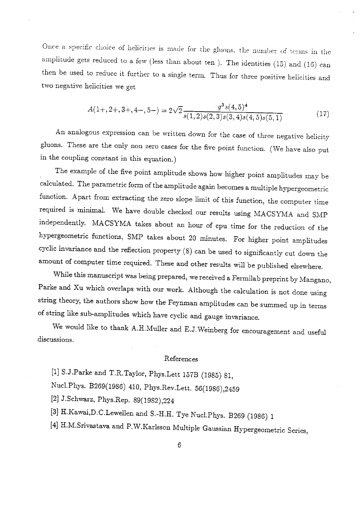Once a specific choice of helicities is made for the gluons, the number of terms in the amplitude gets reduced to a few (less than about ten). The identities (15) and (16) can then be used to reduce it further to a single term. Thus for three positive helicities and two negative helicities we get

$$
A(1+,2+,3+,4-,5-) = 2\sqrt{2} \frac{g^3 s(4,5)^4}{s(1,2)s(2,3)s(3,4)s(4,5)s(5,1)}
$$
(17)

An analogous expression can be written down for the case of three negative helicity gluons. These are the only non zero cases for the five point function. (We have also put in the coupling constant in this equation.)

The example of the five point amplitude shows how higher point amplitudes may be calculated. The parametric form of the amplitude again becomes a multiple hypergeometric function. Apart from extracting the zero slope limit of this function, the computer time required is minimal. We have double checked our results using MACSYMA and SMP independently. MACSYMA takes about an hour of cpu time for the reduction of the hypergeometric functions, SMP takes about 20 minutes. For higher point amplitudes cyclic invariance and the reflection property (8) can be used to significantly cut down the amount of computer time required. These and other results will be published elsewhere.

While this manuscript was being prepared, we received a Fermilab preprint by Mangano, Parke and Xu which overlaps with our work. Although the calculation is not done using string theory, the authors show how the Feynman amplitudes can be summed up in terms of string like sub-amplitudes which have cyclic and gauge invariance.

We would like to thank A.H.Muller and E.J.Weinberg for encouragement and useful discussions.

#### References

[1] S.J.Parke and T.R.Taylor, Phys.Lett 157B (1985) 81,

Nucl.Phys. B269(1986) 410, Phys.Rev.Lett. 56(1986),2459

[2] J.Schwarz, Phys.Rep. 89(1982),224

[3] H.Kawai,D.C.Lewellen and S.-H.H. Tye Nucl.Phys. B269 (1986) 1

[4] H.M.Srivastava and P.W.Karlsson Multiple Gaussian Hypergeometric Series,